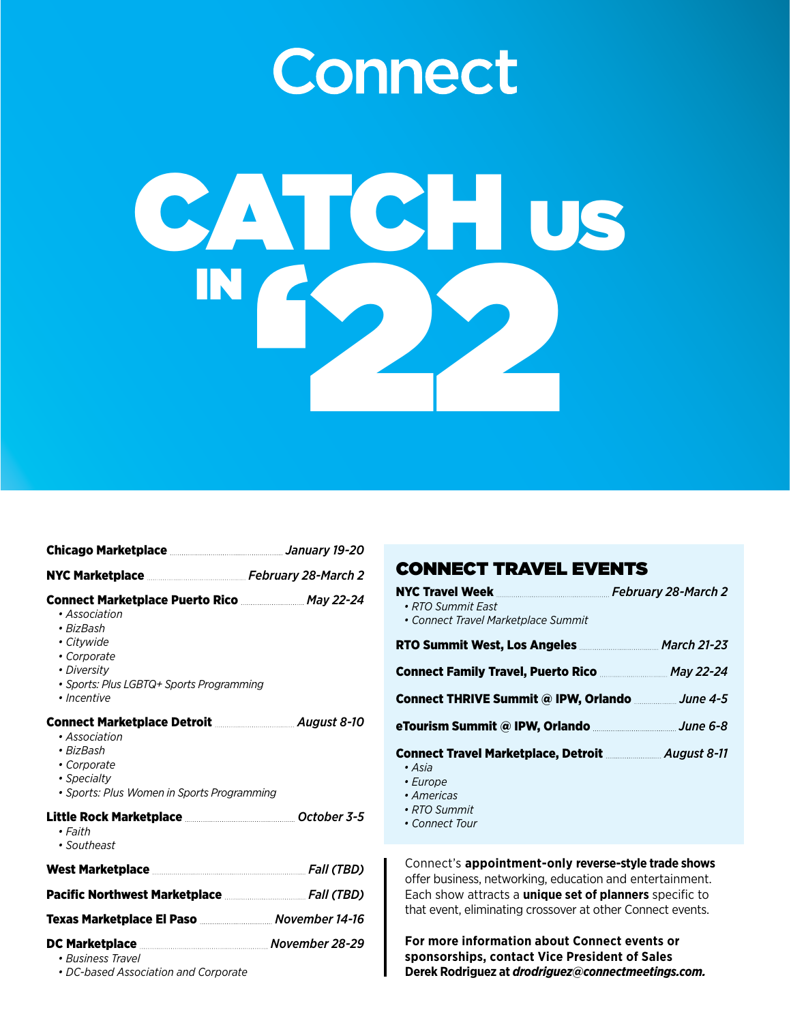## **Connect**



| Chicago Marketplace Marketplace Manual Manuary 19-20                                                                                                                                                          |  |
|---------------------------------------------------------------------------------------------------------------------------------------------------------------------------------------------------------------|--|
|                                                                                                                                                                                                               |  |
| <b>Connect Marketplace Puerto Rico</b> <u>________________</u> May 22-24<br>• Association<br>• BizBash<br>• Citywide<br>• Corporate<br>• Diversity<br>· Sports: Plus LGBTQ+ Sports Programming<br>• Incentive |  |
| Connect Marketplace Detroit <b>Marketplace Detroit</b> 2000<br>• Association<br>• BizBash<br>• Corporate<br>• Specialty<br>• Sports: Plus Women in Sports Programming                                         |  |
| Little Rock Marketplace <u>[</u> [11] Details Details Details Details Details Details Details Details Details Details D<br>• Faith<br>• Southeast                                                             |  |
|                                                                                                                                                                                                               |  |
| Pacific Northwest Marketplace <b>Machineson</b> Fall (TBD)                                                                                                                                                    |  |
| Texas Marketplace El Paso  November 14-16                                                                                                                                                                     |  |
| DC Marketplace Marketplace Movember 28-29<br>• Business Travel<br>• DC-based Association and Corporate                                                                                                        |  |

## CONNECT TRAVEL EVENTS

| NYC Travel Week Manual Processor February 28-March 2<br>• RTO Summit East<br>• Connect Travel Marketplace Summit |  |
|------------------------------------------------------------------------------------------------------------------|--|
| RTO Summit West, Los Angeles <b>Entitary March 21-23</b>                                                         |  |
| Connect Family Travel, Puerto Rico  May 22-24                                                                    |  |
| Connect THRIVE Summit @ IPW, Orlando manual une 4-5                                                              |  |
|                                                                                                                  |  |
| Connect Travel Marketplace, Detroit <b>Connect 8-11</b><br>• Asia<br>• Europe<br>• Americas<br>• RTO Summit      |  |

 *• Connect Tour*

Connect's **appointment-only reverse-style trade shows** offer business, networking, education and entertainment. Each show attracts a **unique set of planners** specific to that event, eliminating crossover at other Connect events.

**For more information about Connect events or sponsorships, contact Vice President of Sales Derek Rodriguez at** *drodriguez@connectmeetings.com.*